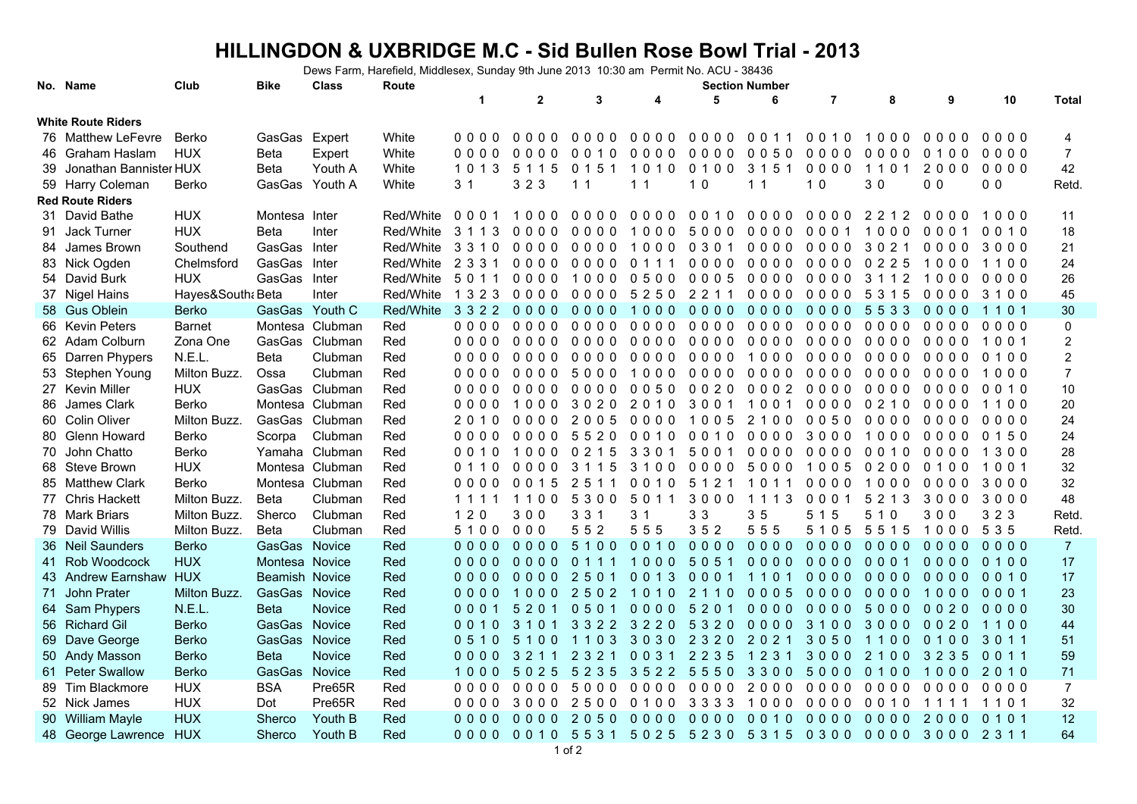## **HILLINGDON & UXBRIDGE M.C - Sid Bullen Rose Bowl Trial - 2013**

Dews Farm, Harefield, Middlesex, Sunday 9th June 2013 10:30 am Permit No. ACU - 38436

|    | No. Name                  | Club              | <b>Bike</b>           | <b>Class</b>    | Route     |                |              |                |                |                                                   | <b>Section Number</b> |                |         |                |                |                  |
|----|---------------------------|-------------------|-----------------------|-----------------|-----------|----------------|--------------|----------------|----------------|---------------------------------------------------|-----------------------|----------------|---------|----------------|----------------|------------------|
|    |                           |                   |                       |                 |           | $\mathbf 1$    | $\mathbf{2}$ | 3              | 4              | 5                                                 | 6                     | $\overline{7}$ | 8       | 9              | 10             | <b>Total</b>     |
|    | <b>White Route Riders</b> |                   |                       |                 |           |                |              |                |                |                                                   |                       |                |         |                |                |                  |
|    | 76 Matthew LeFevre        | Berko             | GasGas                | Expert          | White     | 0000           | $0000$       | 0000           | 0000           | $0000$                                            | 0 0 1 1               | 0010           | 1000    | 0000           | $0000$         | 4                |
|    | 46 Graham Haslam          | <b>HUX</b>        | Beta                  | Expert          | White     | 0000           | 0000         | 0010           | 0000           | $0000$                                            | 0050                  | $0000$         | 0000    | 0100           | 0000           | $\overline{7}$   |
|    | 39 Jonathan Bannister HUX |                   | <b>Beta</b>           | Youth A         | White     | 1 0 1 3        | 5 1 1 5      | 0151           | 1010           | 0100                                              | 3 1 5 1               | $0000$         | 1101    | 2000           | $0000$         | 42               |
|    | 59 Harry Coleman          | Berko             | GasGas                | Youth A         | White     | 3 <sub>1</sub> | 3 2 3        | 1 <sub>1</sub> | 1 <sub>1</sub> | 1 <sub>0</sub>                                    | 1 <sub>1</sub>        | 1 <sub>0</sub> | 30      | 0 <sub>0</sub> | 0 <sub>0</sub> | Retd.            |
|    | <b>Red Route Riders</b>   |                   |                       |                 |           |                |              |                |                |                                                   |                       |                |         |                |                |                  |
|    | 31 David Bathe            | <b>HUX</b>        | Montesa Inter         |                 | Red/White | 0001           | 1000         | $0000$         |                | 0000 0010                                         | $0000$                | 0000           | 2212    | $0000$         | 1000           | 11               |
| 91 | Jack Turner               | <b>HUX</b>        | Beta                  | Inter           | Red/White | 3 1 1 3        | 0000         | $0000$         | 1000           | 5000                                              | 0000                  | 0001           | 1000    | 0001           | 0010           | 18               |
|    | 84 James Brown            | Southend          | GasGas                | Inter           | Red/White | 3310           | 0000         | 0000           | 1000           | 0 3 0 1                                           | 0000                  | $0000$         | 3021    | 0000           | 3000           | 21               |
|    | 83 Nick Ogden             | Chelmsford        | GasGas                | Inter           | Red/White | 2 3 3 1        | 0000         | 0000           | 0 1 1 1        | 0000                                              | 0000                  | 0000           | 0225    | 1000           | 1100           | 24               |
|    | 54 David Burk             | <b>HUX</b>        | GasGas                | Inter           | Red/White | 5 0 1 1        | 0000         | 1000           | 0500           | 0005                                              | 0000                  | $0000$         | 3 1 1 2 | 1000           | $0000$         | 26               |
|    | 37 Nigel Hains            | Hayes&South: Beta |                       | Inter           | Red/White | 1 3 2 3        | 0000         | 0000           | 52502211       |                                                   | 0000                  | 0000           | 5 3 1 5 | 0000           | 3100           | 45               |
|    | 58 Gus Oblein             | <b>Berko</b>      | GasGas Youth C        |                 | Red/White | 3 3 2 2        | $0000$       | $0000$         | 1000           | $0000$                                            | 0000                  | $0000$         | 5533    | 0000           | 1101           | 30               |
|    | 66 Kevin Peters           | <b>Barnet</b>     |                       | Montesa Clubman | Red       | 0000           | 0000         | $0000$         | 0000           | 0000                                              | 0000                  | $0000$         | 0000    | 0000           | $0000$         | $\pmb{0}$        |
|    | 62 Adam Colburn           | Zona One          | GasGas                | Clubman         | Red       | 0000           | 0000         | $0000$         | $0000$         | 0000                                              | 0000                  | 0000           | $0000$  | 0000           | 1001           | $\boldsymbol{2}$ |
|    | 65 Darren Phypers         | N.E.L.            | Beta                  | Clubman         | Red       | 0000           | $0000$       | $0000$         | 0000           | 0000                                              | 1000                  | 0000           | 0000    | 0000           | 0 1 0 0        | $\boldsymbol{2}$ |
|    | 53 Stephen Young          | Milton Buzz.      | Ossa                  | Clubman         | Red       | 0000           | 0000         | 5000           | 1000           | 0000                                              | 0000                  | 0000           | 0000    | 0000           | 1000           | $\overline{7}$   |
|    | 27 Kevin Miller           | <b>HUX</b>        |                       | GasGas Clubman  | Red       | 0000           | 0000         | 0000           | 0050           | 0020                                              | 0002                  | $0000$         | 0000    | 0000           | 0010           | 10               |
|    | 86 James Clark            | Berko             |                       | Montesa Clubman | Red       | 0000           | 1000         | 3020           | 2010           | 3001                                              | 1001                  | 0000           | 0210    | 0000           | 1100           | 20               |
|    | 60 Colin Oliver           | Milton Buzz.      |                       | GasGas Clubman  | Red       | 2010           | 0000         | 2005           | 0000           | 1005                                              | 2 1 0 0               | 0050           | 0000    | 0000           | 0000           | 24               |
|    | 80 Glenn Howard           | Berko             | Scorpa                | Clubman         | Red       | 0000           | 0000         | 5520           | 0010           | 0010                                              | 0000                  | 3000           | 1000    | 0000           | 0 1 5 0        | 24               |
| 70 | John Chatto               | Berko             |                       | Yamaha Clubman  | Red       | 0010           | 1000         | 0 2 1 5        | 3301           | 5001                                              | $0000$                | $0000$         | 0010    | 0000           | 1300           | 28               |
|    | 68 Steve Brown            | <b>HUX</b>        |                       | Montesa Clubman | Red       | 0110           | 0000         | 3 1 1 5        | 3100           | 0000                                              | 5000                  | 1005           | 0200    | 0100           | 1001           | 32               |
|    | 85 Matthew Clark          | Berko             |                       | Montesa Clubman | Red       | 0000           | 0015         | 2511           | 0010           | 5 1 2 1                                           | 1011                  | 0000           | 1000    | 0000           | 3000           | 32               |
|    | 77 Chris Hackett          | Milton Buzz.      | Beta                  | Clubman         | Red       | 1111           | 1100         | 5300           | 5 0 1 1        | 3000                                              | 1113                  | 0001           | 5 2 1 3 | 3000           | 3000           | 48               |
|    | 78 Mark Briars            | Milton Buzz.      | Sherco                | Clubman         | Red       | 120            | 300          | 3 3 1          | 3 <sub>1</sub> | 3 3                                               | 35                    | 5 1 5          | 5 1 0   | 300            | 3 2 3          | Retd             |
|    | 79 David Willis           | Milton Buzz.      | <b>Beta</b>           | Clubman         | Red       | 5100           | 000          | 552            | 555            | 352                                               | 555                   | 5 1 0 5        | 5515    | 1000           | 5 3 5          | Retd             |
|    | 36 Neil Saunders          | <b>Berko</b>      | GasGas Novice         |                 | Red       | 0000           | $0000$       | 5100           | 00100000       |                                                   | 0000                  | $0000$         | $0000$  | $0000$         | $0000$         | $\overline{7}$   |
|    | 41 Rob Woodcock           | <b>HUX</b>        | Montesa Novice        |                 | Red       | 0000           | $0000$       | 0 1 1 1        | 1000           | 5051                                              | 0000                  | 0000           | 0001    | 0000           | 0100           | 17               |
|    | 43 Andrew Earnshaw HUX    |                   | <b>Beamish Novice</b> |                 | Red       | 0000           | $0000$       | 2501           | 0013           | 0001                                              | 1101                  | $0000$         | $0000$  | 0000           | 0010           | 17               |
| 71 | John Prater               | Milton Buzz.      | GasGas Novice         |                 | Red       | 0000           | 1000         | 2502           | 1010           | 2 1 1 0                                           | 0005                  | $0000$         | $0000$  | 1000           | 0001           | 23               |
|    | 64 Sam Phypers            | N.E.L.            | <b>Beta</b>           | <b>Novice</b>   | Red       | 0001           | 5201         | 0501           | $0000$         | 5201                                              | $0000$                | $0000$         | 5000    | 0020           | 0000           | 30               |
|    | 56 Richard Gil            | <b>Berko</b>      | GasGas                | Novice          | Red       | 0010           | 3 1 0 1      | 3 3 2 2        | 3220           | 5320                                              | $0000$                | 3100           | 3000    | 0020           | 1100           | 44               |
|    | 69 Dave George            | <b>Berko</b>      | GasGas Novice         |                 | Red       | 0510           | 5100         | 1103           | 3030           | 2 3 2 0                                           | 2021                  | 3050           | 1100    | 0100           | 3 0 1 1        | 51               |
|    | 50 Andy Masson            | <b>Berko</b>      | <b>Beta</b>           | Novice          | Red       | 0000           | 3 2 1 1      | 2 3 2 1        | 0031           | 2 2 3 5                                           | 1 2 3 1               | 3000           | 2100    | 3 2 3 5        | 0011           | 59               |
|    | 61 Peter Swallow          | <b>Berko</b>      | GasGas                | Novice          | Red       |                | 1000 5025    | 5235           | 3522 5550      |                                                   | 3300                  | 5000           | 0100    | 1000           | 2010           | 71               |
| 89 | Tim Blackmore             | <b>HUX</b>        | <b>BSA</b>            | Pre65R          | Red       | 0000           | 0000         | 5000           | 0000           | 0000                                              | 2000                  | 0000           | $0000$  | 0000           | 0000           | $\overline{7}$   |
|    | 52 Nick James             | <b>HUX</b>        | Dot                   | Pre65R          | Red       | 0000           | 3000         | 2500           | 0100           | 3 3 3 3                                           | 1000                  | 0000           | 0010    | 1111           | 1101           | 32               |
|    | 90 William Mayle          | <b>HUX</b>        | Sherco                | Youth B         | Red       | 0000           | $0000$       | 2050           | $0000$         | $0000$                                            | 0010                  | $0000$         | $0000$  | 2000           | 0101           | 12               |
|    | 48 George Lawrence HUX    |                   | Sherco                | Youth B         | Red       |                |              |                |                | 0000 0010 5531 5025 5230 5315 0300 0000 3000 2311 |                       |                |         |                |                | 64               |
|    |                           |                   |                       |                 |           |                |              |                |                |                                                   |                       |                |         |                |                |                  |